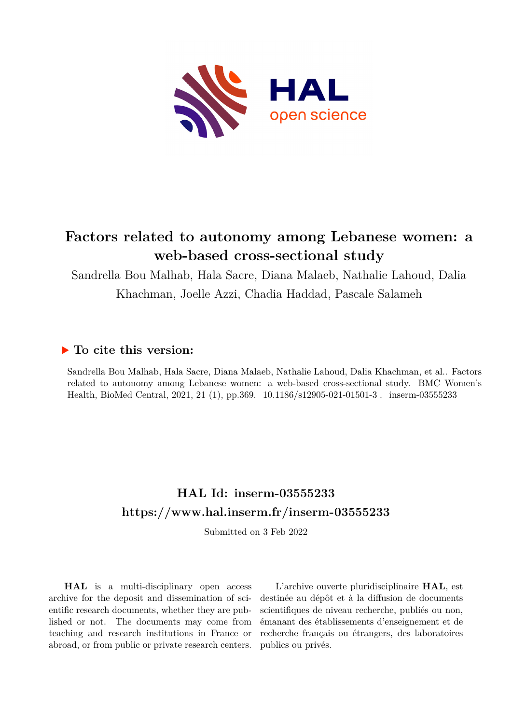

# **Factors related to autonomy among Lebanese women: a web-based cross-sectional study**

Sandrella Bou Malhab, Hala Sacre, Diana Malaeb, Nathalie Lahoud, Dalia Khachman, Joelle Azzi, Chadia Haddad, Pascale Salameh

# **To cite this version:**

Sandrella Bou Malhab, Hala Sacre, Diana Malaeb, Nathalie Lahoud, Dalia Khachman, et al.. Factors related to autonomy among Lebanese women: a web-based cross-sectional study. BMC Women's Health, BioMed Central, 2021, 21 (1), pp.369. 10.1186/s12905-021-01501-3 . inserm-03555233

# **HAL Id: inserm-03555233 <https://www.hal.inserm.fr/inserm-03555233>**

Submitted on 3 Feb 2022

**HAL** is a multi-disciplinary open access archive for the deposit and dissemination of scientific research documents, whether they are published or not. The documents may come from teaching and research institutions in France or abroad, or from public or private research centers.

L'archive ouverte pluridisciplinaire **HAL**, est destinée au dépôt et à la diffusion de documents scientifiques de niveau recherche, publiés ou non, émanant des établissements d'enseignement et de recherche français ou étrangers, des laboratoires publics ou privés.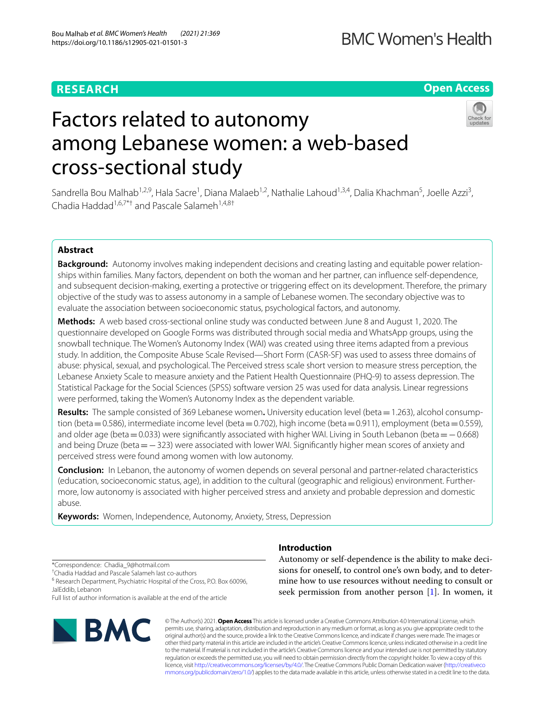# **RESEARCH**

# **BMC Women's Health**

**Open Access**

# Factors related to autonomy among Lebanese women: a web-based cross-sectional study



Sandrella Bou Malhab<sup>1,2,9</sup>, Hala Sacre<sup>1</sup>, Diana Malaeb<sup>1,2</sup>, Nathalie Lahoud<sup>1,3,4</sup>, Dalia Khachman<sup>5</sup>, Joelle Azzi<sup>3</sup>, Chadia Haddad<sup>1,6,7\*†</sup> and Pascale Salameh<sup>1,4,8†</sup>

# **Abstract**

**Background:** Autonomy involves making independent decisions and creating lasting and equitable power relationships within families. Many factors, dependent on both the woman and her partner, can infuence self-dependence, and subsequent decision-making, exerting a protective or triggering efect on its development. Therefore, the primary objective of the study was to assess autonomy in a sample of Lebanese women. The secondary objective was to evaluate the association between socioeconomic status, psychological factors, and autonomy.

**Methods:** A web based cross-sectional online study was conducted between June 8 and August 1, 2020. The questionnaire developed on Google Forms was distributed through social media and WhatsApp groups, using the snowball technique. The Women's Autonomy Index (WAI) was created using three items adapted from a previous study. In addition, the Composite Abuse Scale Revised—Short Form (CASR-SF) was used to assess three domains of abuse: physical, sexual, and psychological. The Perceived stress scale short version to measure stress perception, the Lebanese Anxiety Scale to measure anxiety and the Patient Health Questionnaire (PHQ-9) to assess depression. The Statistical Package for the Social Sciences (SPSS) software version 25 was used for data analysis. Linear regressions were performed, taking the Women's Autonomy Index as the dependent variable.

**Results:** The sample consisted of 369 Lebanese women**.** University education level (beta=1.263), alcohol consumption (beta = 0.586), intermediate income level (beta = 0.702), high income (beta = 0.911), employment (beta = 0.559), and older age (beta=0.033) were signifcantly associated with higher WAI. Living in South Lebanon (beta=−0.668) and being Druze (beta=−323) were associated with lower WAI. Signifcantly higher mean scores of anxiety and perceived stress were found among women with low autonomy.

**Conclusion:** In Lebanon, the autonomy of women depends on several personal and partner-related characteristics (education, socioeconomic status, age), in addition to the cultural (geographic and religious) environment. Furthermore, low autonomy is associated with higher perceived stress and anxiety and probable depression and domestic abuse.

**Keywords:** Women, Independence, Autonomy, Anxiety, Stress, Depression

# **Introduction**

\*Correspondence: Chadia\_9@hotmail.com

† Chadia Haddad and Pascale Salameh last co-authors

<sup>6</sup> Research Department, Psychiatric Hospital of the Cross, P.O. Box 60096, JalEddib, Lebanon

Full list of author information is available at the end of the article



Autonomy or self-dependence is the ability to make decisions for oneself, to control one's own body, and to determine how to use resources without needing to consult or seek permission from another person [1]. In women, it

© The Author(s) 2021. **Open Access** This article is licensed under a Creative Commons Attribution 4.0 International License, which permits use, sharing, adaptation, distribution and reproduction in any medium or format, as long as you give appropriate credit to the original author(s) and the source, provide a link to the Creative Commons licence, and indicate if changes were made. The images or other third party material in this article are included in the article's Creative Commons licence, unless indicated otherwise in a credit line to the material. If material is not included in the article's Creative Commons licence and your intended use is not permitted by statutory regulation or exceeds the permitted use, you will need to obtain permission directly from the copyright holder. To view a copy of this licence, visit [http://creativecommons.org/licenses/by/4.0/.](http://creativecommons.org/licenses/by/4.0/) The Creative Commons Public Domain Dedication waiver ([http://creativeco](http://creativecommons.org/publicdomain/zero/1.0/) [mmons.org/publicdomain/zero/1.0/](http://creativecommons.org/publicdomain/zero/1.0/)) applies to the data made available in this article, unless otherwise stated in a credit line to the data.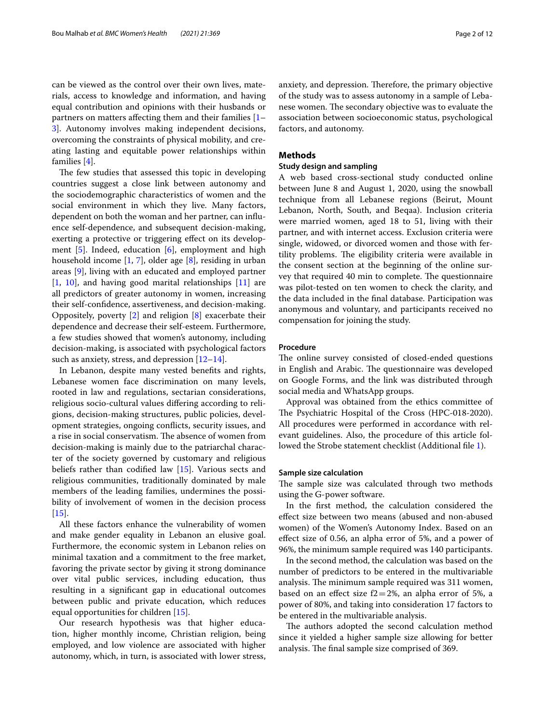can be viewed as the control over their own lives, materials, access to knowledge and information, and having equal contribution and opinions with their husbands or partners on matters afecting them and their families [1– 3]. Autonomy involves making independent decisions, overcoming the constraints of physical mobility, and creating lasting and equitable power relationships within families [4].

The few studies that assessed this topic in developing countries suggest a close link between autonomy and the sociodemographic characteristics of women and the social environment in which they live. Many factors, dependent on both the woman and her partner, can infuence self-dependence, and subsequent decision-making, exerting a protective or triggering efect on its development [5]. Indeed, education [6], employment and high household income [1, 7], older age [8], residing in urban areas [9], living with an educated and employed partner [1, 10], and having good marital relationships [11] are all predictors of greater autonomy in women, increasing their self-confdence, assertiveness, and decision-making. Oppositely, poverty [2] and religion [8] exacerbate their dependence and decrease their self-esteem. Furthermore, a few studies showed that women's autonomy, including decision-making, is associated with psychological factors such as anxiety, stress, and depression  $[12-14]$ .

In Lebanon, despite many vested benefts and rights, Lebanese women face discrimination on many levels, rooted in law and regulations, sectarian considerations, religious socio-cultural values difering according to religions, decision-making structures, public policies, development strategies, ongoing conficts, security issues, and a rise in social conservatism. The absence of women from decision-making is mainly due to the patriarchal character of the society governed by customary and religious beliefs rather than codifed law [15]. Various sects and religious communities, traditionally dominated by male members of the leading families, undermines the possibility of involvement of women in the decision process  $[15]$ .

All these factors enhance the vulnerability of women and make gender equality in Lebanon an elusive goal. Furthermore, the economic system in Lebanon relies on minimal taxation and a commitment to the free market, favoring the private sector by giving it strong dominance over vital public services, including education, thus resulting in a signifcant gap in educational outcomes between public and private education, which reduces equal opportunities for children [15].

Our research hypothesis was that higher education, higher monthly income, Christian religion, being employed, and low violence are associated with higher autonomy, which, in turn, is associated with lower stress, anxiety, and depression. Therefore, the primary objective of the study was to assess autonomy in a sample of Lebanese women. The secondary objective was to evaluate the association between socioeconomic status, psychological factors, and autonomy.

# **Methods**

# **Study design and sampling**

A web based cross-sectional study conducted online between June 8 and August 1, 2020, using the snowball technique from all Lebanese regions (Beirut, Mount Lebanon, North, South, and Beqaa). Inclusion criteria were married women, aged 18 to 51, living with their partner, and with internet access. Exclusion criteria were single, widowed, or divorced women and those with fertility problems. The eligibility criteria were available in the consent section at the beginning of the online survey that required 40 min to complete. The questionnaire was pilot-tested on ten women to check the clarity, and the data included in the fnal database. Participation was anonymous and voluntary, and participants received no compensation for joining the study.

# **Procedure**

The online survey consisted of closed-ended questions in English and Arabic. The questionnaire was developed on Google Forms, and the link was distributed through social media and WhatsApp groups.

Approval was obtained from the ethics committee of The Psychiatric Hospital of the Cross (HPC-018-2020). All procedures were performed in accordance with relevant guidelines. Also, the procedure of this article followed the Strobe statement checklist (Additional fle 1).

# **Sample size calculation**

The sample size was calculated through two methods using the G-power software.

In the frst method, the calculation considered the efect size between two means (abused and non-abused women) of the Women's Autonomy Index. Based on an efect size of 0.56, an alpha error of 5%, and a power of 96%, the minimum sample required was 140 participants.

In the second method, the calculation was based on the number of predictors to be entered in the multivariable analysis. The minimum sample required was 311 women, based on an effect size  $f2=2%$ , an alpha error of 5%, a power of 80%, and taking into consideration 17 factors to be entered in the multivariable analysis.

The authors adopted the second calculation method since it yielded a higher sample size allowing for better analysis. The final sample size comprised of 369.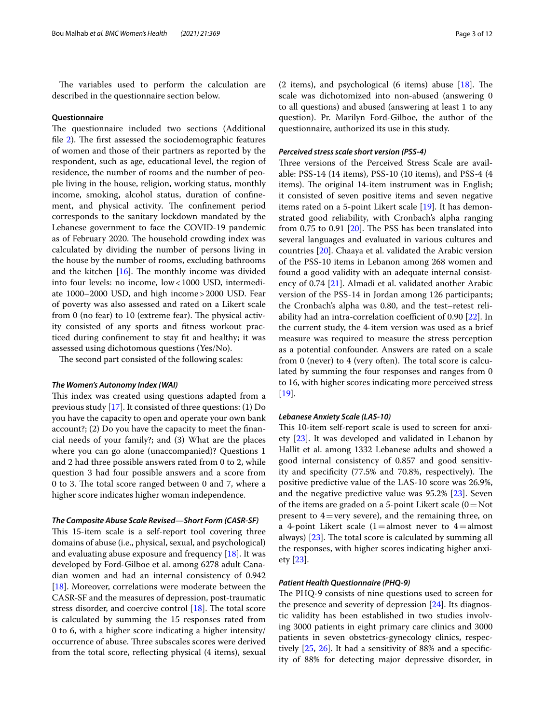The variables used to perform the calculation are described in the questionnaire section below.

# **Questionnaire**

The questionnaire included two sections (Additional file  $2$ ). The first assessed the sociodemographic features of women and those of their partners as reported by the respondent, such as age, educational level, the region of residence, the number of rooms and the number of people living in the house, religion, working status, monthly income, smoking, alcohol status, duration of confnement, and physical activity. The confinement period corresponds to the sanitary lockdown mandated by the Lebanese government to face the COVID-19 pandemic as of February 2020. The household crowding index was calculated by dividing the number of persons living in the house by the number of rooms, excluding bathrooms and the kitchen  $[16]$ . The monthly income was divided into four levels: no income, low<1000 USD, intermediate 1000–2000 USD, and high income>2000 USD. Fear of poverty was also assessed and rated on a Likert scale from 0 (no fear) to 10 (extreme fear). The physical activity consisted of any sports and ftness workout practiced during confnement to stay ft and healthy; it was assessed using dichotomous questions (Yes/No).

The second part consisted of the following scales:

## *The Women's Autonomy Index (WAI)*

This index was created using questions adapted from a previous study [17]. It consisted of three questions: (1) Do you have the capacity to open and operate your own bank account?; (2) Do you have the capacity to meet the fnancial needs of your family?; and (3) What are the places where you can go alone (unaccompanied)? Questions 1 and 2 had three possible answers rated from 0 to 2, while question 3 had four possible answers and a score from 0 to 3. The total score ranged between 0 and 7, where a higher score indicates higher woman independence.

# *The Composite Abuse Scale Revised—Short Form (CASR‑SF)*

This 15-item scale is a self-report tool covering three domains of abuse (i.e., physical, sexual, and psychological) and evaluating abuse exposure and frequency [18]. It was developed by Ford-Gilboe et al. among 6278 adult Canadian women and had an internal consistency of 0.942 [18]. Moreover, correlations were moderate between the CASR-SF and the measures of depression, post-traumatic stress disorder, and coercive control  $[18]$ . The total score is calculated by summing the 15 responses rated from 0 to 6, with a higher score indicating a higher intensity/ occurrence of abuse. Three subscales scores were derived from the total score, refecting physical (4 items), sexual (2 items), and psychological (6 items) abuse  $[18]$ . The scale was dichotomized into non-abused (answering 0 to all questions) and abused (answering at least 1 to any question). Pr. Marilyn Ford-Gilboe, the author of the questionnaire, authorized its use in this study.

# *Perceived stress scale short version (PSS‑4)*

Three versions of the Perceived Stress Scale are available: PSS-14 (14 items), PSS-10 (10 items), and PSS-4 (4 items). The original 14-item instrument was in English; it consisted of seven positive items and seven negative items rated on a 5-point Likert scale [19]. It has demonstrated good reliability, with Cronbach's alpha ranging from  $0.75$  to  $0.91$   $[20]$ . The PSS has been translated into several languages and evaluated in various cultures and countries [20]. Chaaya et al. validated the Arabic version of the PSS-10 items in Lebanon among 268 women and found a good validity with an adequate internal consistency of 0.74 [21]. Almadi et al. validated another Arabic version of the PSS-14 in Jordan among 126 participants; the Cronbach's alpha was 0.80, and the test–retest reliability had an intra-correlation coefficient of  $0.90$  [ $22$ ]. In the current study, the 4-item version was used as a brief measure was required to measure the stress perception as a potential confounder. Answers are rated on a scale from 0 (never) to 4 (very often). The total score is calculated by summing the four responses and ranges from 0 to 16, with higher scores indicating more perceived stress [19].

#### *Lebanese Anxiety Scale (LAS‑10)*

This 10-item self-report scale is used to screen for anxiety [23]. It was developed and validated in Lebanon by Hallit et al. among 1332 Lebanese adults and showed a good internal consistency of 0.857 and good sensitivity and specificity  $(77.5\%$  and  $70.8\%$ , respectively). The positive predictive value of the LAS-10 score was 26.9%, and the negative predictive value was 95.2% [23]. Seven of the items are graded on a 5-point Likert scale  $(0=Not)$ present to  $4$  = very severe), and the remaining three, on a 4-point Likert scale  $(1=$ almost never to  $4=$ almost always)  $[23]$ . The total score is calculated by summing all the responses, with higher scores indicating higher anxiety [23].

# *Patient Health Questionnaire (PHQ‑9)*

The PHQ-9 consists of nine questions used to screen for the presence and severity of depression [24]. Its diagnostic validity has been established in two studies involving 3000 patients in eight primary care clinics and 3000 patients in seven obstetrics-gynecology clinics, respectively [25, 26]. It had a sensitivity of 88% and a specifcity of 88% for detecting major depressive disorder, in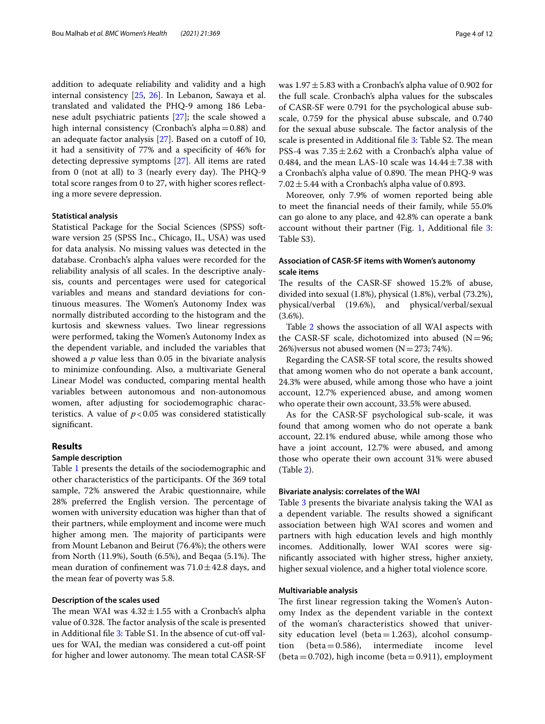addition to adequate reliability and validity and a high internal consistency [25, 26]. In Lebanon, Sawaya et al. translated and validated the PHQ-9 among 186 Lebanese adult psychiatric patients [27]; the scale showed a high internal consistency (Cronbach's alpha=0.88) and an adequate factor analysis  $[27]$ . Based on a cutoff of 10, it had a sensitivity of 77% and a specifcity of 46% for detecting depressive symptoms [27]. All items are rated from 0 (not at all) to 3 (nearly every day). The  $PHQ-9$ total score ranges from 0 to 27, with higher scores refecting a more severe depression.

#### **Statistical analysis**

Statistical Package for the Social Sciences (SPSS) software version 25 (SPSS Inc., Chicago, IL, USA) was used for data analysis. No missing values was detected in the database. Cronbach's alpha values were recorded for the reliability analysis of all scales. In the descriptive analysis, counts and percentages were used for categorical variables and means and standard deviations for continuous measures. The Women's Autonomy Index was normally distributed according to the histogram and the kurtosis and skewness values. Two linear regressions were performed, taking the Women's Autonomy Index as the dependent variable, and included the variables that showed a *p* value less than 0.05 in the bivariate analysis to minimize confounding. Also, a multivariate General Linear Model was conducted, comparing mental health variables between autonomous and non-autonomous women, after adjusting for sociodemographic characteristics. A value of  $p < 0.05$  was considered statistically signifcant.

# **Results**

## **Sample description**

Table 1 presents the details of the sociodemographic and other characteristics of the participants. Of the 369 total sample, 72% answered the Arabic questionnaire, while 28% preferred the English version. The percentage of women with university education was higher than that of their partners, while employment and income were much higher among men. The majority of participants were from Mount Lebanon and Beirut (76.4%); the others were from North  $(11.9\%)$ , South  $(6.5\%)$ , and Beqaa  $(5.1\%)$ . The mean duration of confinement was  $71.0 \pm 42.8$  days, and the mean fear of poverty was 5.8.

# **Description of the scales used**

The mean WAI was  $4.32 \pm 1.55$  with a Cronbach's alpha value of 0.328. The factor analysis of the scale is presented in Additional file 3: Table S1. In the absence of cut-off values for WAI, the median was considered a cut-of point for higher and lower autonomy. The mean total CASR-SF was  $1.97 \pm 5.83$  with a Cronbach's alpha value of 0.902 for the full scale. Cronbach's alpha values for the subscales of CASR-SF were 0.791 for the psychological abuse subscale, 0.759 for the physical abuse subscale, and 0.740 for the sexual abuse subscale. The factor analysis of the scale is presented in Additional file 3: Table S2. The mean PSS-4 was  $7.35 \pm 2.62$  with a Cronbach's alpha value of 0.484, and the mean LAS-10 scale was  $14.44 \pm 7.38$  with a Cronbach's alpha value of 0.890. The mean PHQ-9 was 7.02 $\pm$ 5.44 with a Cronbach's alpha value of 0.893.

Moreover, only 7.9% of women reported being able to meet the fnancial needs of their family, while 55.0% can go alone to any place, and 42.8% can operate a bank account without their partner (Fig. 1, Additional file 3: Table S3).

# **Association of CASR‑SF items with Women's autonomy scale items**

The results of the CASR-SF showed 15.2% of abuse, divided into sexual (1.8%), physical (1.8%), verbal (73.2%), physical/verbal (19.6%), and physical/verbal/sexual  $(3.6\%).$ 

Table 2 shows the association of all WAI aspects with the CASR-SF scale, dichotomized into abused  $(N=96;$ 26%)versus not abused women ( $N=273$ ; 74%).

Regarding the CASR-SF total score, the results showed that among women who do not operate a bank account, 24.3% were abused, while among those who have a joint account, 12.7% experienced abuse, and among women who operate their own account, 33.5% were abused.

As for the CASR-SF psychological sub-scale, it was found that among women who do not operate a bank account, 22.1% endured abuse, while among those who have a joint account, 12.7% were abused, and among those who operate their own account 31% were abused (Table 2).

## **Bivariate analysis: correlates of the WAI**

Table 3 presents the bivariate analysis taking the WAI as a dependent variable. The results showed a significant association between high WAI scores and women and partners with high education levels and high monthly incomes. Additionally, lower WAI scores were signifcantly associated with higher stress, higher anxiety, higher sexual violence, and a higher total violence score.

# **Multivariable analysis**

The first linear regression taking the Women's Autonomy Index as the dependent variable in the context of the woman's characteristics showed that university education level (beta=1.263), alcohol consumption (beta=0.586), intermediate income level  $(\text{beta}=0.586),$ (beta = 0.702), high income (beta = 0.911), employment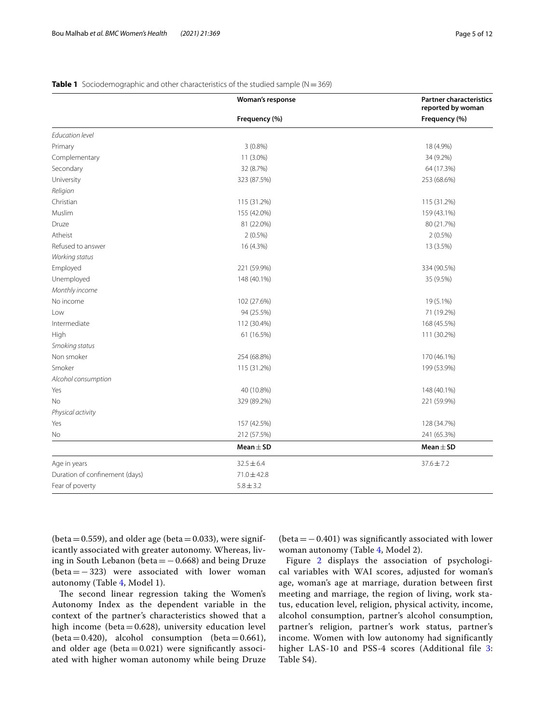|                                | Woman's response | <b>Partner characteristics</b><br>reported by woman |
|--------------------------------|------------------|-----------------------------------------------------|
|                                | Frequency (%)    | Frequency (%)                                       |
| Education level                |                  |                                                     |
| Primary                        | $3(0.8\%)$       | 18 (4.9%)                                           |
| Complementary                  | 11 (3.0%)        | 34 (9.2%)                                           |
| Secondary                      | 32 (8.7%)        | 64 (17.3%)                                          |
| University                     | 323 (87.5%)      | 253 (68.6%)                                         |
| Religion                       |                  |                                                     |
| Christian                      | 115 (31.2%)      | 115 (31.2%)                                         |
| Muslim                         | 155 (42.0%)      | 159 (43.1%)                                         |
| Druze                          | 81 (22.0%)       | 80 (21.7%)                                          |
| Atheist                        | $2(0.5\%)$       | $2(0.5\%)$                                          |
| Refused to answer              | 16 (4.3%)        | 13 (3.5%)                                           |
| Working status                 |                  |                                                     |
| Employed                       | 221 (59.9%)      | 334 (90.5%)                                         |
| Unemployed                     | 148 (40.1%)      | 35 (9.5%)                                           |
| Monthly income                 |                  |                                                     |
| No income                      | 102 (27.6%)      | 19 (5.1%)                                           |
| l ow                           | 94 (25.5%)       | 71 (19.2%)                                          |
| Intermediate                   | 112 (30.4%)      | 168 (45.5%)                                         |
| High                           | 61 (16.5%)       | 111 (30.2%)                                         |
| Smoking status                 |                  |                                                     |
| Non smoker                     | 254 (68.8%)      | 170 (46.1%)                                         |
| Smoker                         | 115 (31.2%)      | 199 (53.9%)                                         |
| Alcohol consumption            |                  |                                                     |
| Yes                            | 40 (10.8%)       | 148 (40.1%)                                         |
| No                             | 329 (89.2%)      | 221 (59.9%)                                         |
| Physical activity              |                  |                                                     |
| Yes                            | 157 (42.5%)      | 128 (34.7%)                                         |
| No                             | 212 (57.5%)      | 241 (65.3%)                                         |
|                                | Mean $\pm$ SD    | $Mean \pm SD$                                       |
| Age in years                   | $32.5 \pm 6.4$   | $37.6 \pm 7.2$                                      |
| Duration of confinement (days) | $71.0 \pm 42.8$  |                                                     |
| Fear of poverty                | $5.8 \pm 3.2$    |                                                     |

# **Table 1** Sociodemographic and other characteristics of the studied sample (N = 369)

(beta =  $0.559$ ), and older age (beta =  $0.033$ ), were significantly associated with greater autonomy. Whereas, living in South Lebanon (beta =  $-0.668$ ) and being Druze (beta=−323) were associated with lower woman autonomy (Table 4, Model 1).

The second linear regression taking the Women's Autonomy Index as the dependent variable in the context of the partner's characteristics showed that a high income (beta=0.628), university education level (beta=0.420), alcohol consumption (beta=0.661), and older age (beta $=0.021$ ) were significantly associated with higher woman autonomy while being Druze

(beta=−0.401) was signifcantly associated with lower woman autonomy (Table 4, Model 2).

Figure 2 displays the association of psychological variables with WAI scores, adjusted for woman's age, woman's age at marriage, duration between first meeting and marriage, the region of living, work status, education level, religion, physical activity, income, alcohol consumption, partner's alcohol consumption, partner's religion, partner's work status, partner's income. Women with low autonomy had significantly higher LAS-10 and PSS-4 scores (Additional file 3: Table S4).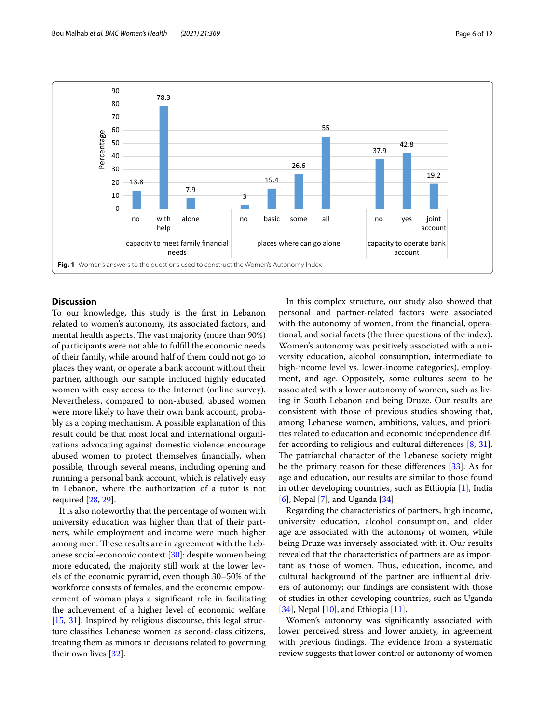

# **Discussion**

To our knowledge, this study is the frst in Lebanon related to women's autonomy, its associated factors, and mental health aspects. The vast majority (more than 90%) of participants were not able to fulfll the economic needs of their family, while around half of them could not go to places they want, or operate a bank account without their partner, although our sample included highly educated women with easy access to the Internet (online survey). Nevertheless, compared to non-abused, abused women were more likely to have their own bank account, probably as a coping mechanism. A possible explanation of this result could be that most local and international organizations advocating against domestic violence encourage abused women to protect themselves fnancially, when possible, through several means, including opening and running a personal bank account, which is relatively easy in Lebanon, where the authorization of a tutor is not required [28, 29].

It is also noteworthy that the percentage of women with university education was higher than that of their partners, while employment and income were much higher among men. These results are in agreement with the Lebanese social-economic context [30]: despite women being more educated, the majority still work at the lower levels of the economic pyramid, even though 30–50% of the workforce consists of females, and the economic empowerment of woman plays a signifcant role in facilitating the achievement of a higher level of economic welfare [15, 31]. Inspired by religious discourse, this legal structure classifes Lebanese women as second-class citizens, treating them as minors in decisions related to governing their own lives [32].

In this complex structure, our study also showed that personal and partner-related factors were associated with the autonomy of women, from the fnancial, operational, and social facets (the three questions of the index). Women's autonomy was positively associated with a university education, alcohol consumption, intermediate to high-income level vs. lower-income categories), employment, and age. Oppositely, some cultures seem to be associated with a lower autonomy of women, such as living in South Lebanon and being Druze. Our results are consistent with those of previous studies showing that, among Lebanese women, ambitions, values, and priorities related to education and economic independence differ according to religious and cultural diferences [8, 31]. The patriarchal character of the Lebanese society might be the primary reason for these diferences [33]. As for age and education, our results are similar to those found in other developing countries, such as Ethiopia [1], India [6], Nepal [7], and Uganda [34].

Regarding the characteristics of partners, high income, university education, alcohol consumption, and older age are associated with the autonomy of women, while being Druze was inversely associated with it. Our results revealed that the characteristics of partners are as important as those of women. Thus, education, income, and cultural background of the partner are infuential drivers of autonomy; our fndings are consistent with those of studies in other developing countries, such as Uganda [34], Nepal [10], and Ethiopia [11].

Women's autonomy was signifcantly associated with lower perceived stress and lower anxiety, in agreement with previous findings. The evidence from a systematic review suggests that lower control or autonomy of women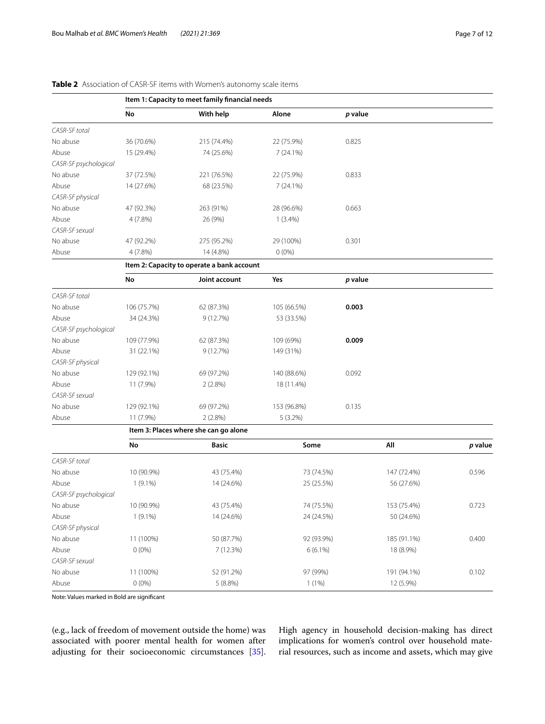# **Table 2** Association of CASR-SF items with Women's autonomy scale items

|                       | Item 1: Capacity to meet family financial needs |                                            |             |         |             |         |
|-----------------------|-------------------------------------------------|--------------------------------------------|-------------|---------|-------------|---------|
|                       | No                                              | With help                                  | Alone       | p value |             |         |
| CASR-SF total         |                                                 |                                            |             |         |             |         |
| No abuse              | 36 (70.6%)                                      | 215 (74.4%)                                | 22 (75.9%)  | 0.825   |             |         |
| Abuse                 | 15 (29.4%)                                      | 74 (25.6%)                                 | 7(24.1%)    |         |             |         |
| CASR-SF psychological |                                                 |                                            |             |         |             |         |
| No abuse              | 37 (72.5%)                                      | 221 (76.5%)                                | 22 (75.9%)  | 0.833   |             |         |
| Abuse                 | 14 (27.6%)                                      | 68 (23.5%)                                 | 7(24.1%)    |         |             |         |
| CASR-SF physical      |                                                 |                                            |             |         |             |         |
| No abuse              | 47 (92.3%)                                      | 263 (91%)                                  | 28 (96.6%)  | 0.663   |             |         |
| Abuse                 | $4(7.8\%)$                                      | 26 (9%)                                    | $1(3.4\%)$  |         |             |         |
| CASR-SF sexual        |                                                 |                                            |             |         |             |         |
| No abuse              | 47 (92.2%)                                      | 275 (95.2%)                                | 29 (100%)   | 0.301   |             |         |
| Abuse                 | 4(7.8%)                                         | 14 (4.8%)                                  | $0(0\%)$    |         |             |         |
|                       |                                                 | Item 2: Capacity to operate a bank account |             |         |             |         |
|                       | No                                              | Joint account                              | Yes         | p value |             |         |
| CASR-SF total         |                                                 |                                            |             |         |             |         |
| No abuse              | 106 (75.7%)                                     | 62 (87.3%)                                 | 105 (66.5%) | 0.003   |             |         |
| Abuse                 | 34 (24.3%)                                      | 9(12.7%)                                   | 53 (33.5%)  |         |             |         |
| CASR-SF psychological |                                                 |                                            |             |         |             |         |
| No abuse              | 109 (77.9%)                                     | 62 (87.3%)                                 | 109 (69%)   | 0.009   |             |         |
| Abuse                 | 31 (22.1%)                                      | 9(12.7%)                                   | 149 (31%)   |         |             |         |
| CASR-SF physical      |                                                 |                                            |             |         |             |         |
| No abuse              | 129 (92.1%)                                     | 69 (97.2%)                                 | 140 (88.6%) | 0.092   |             |         |
| Abuse                 | 11 (7.9%)                                       | $2(2.8\%)$                                 | 18 (11.4%)  |         |             |         |
| CASR-SF sexual        |                                                 |                                            |             |         |             |         |
| No abuse              | 129 (92.1%)                                     | 69 (97.2%)                                 | 153 (96.8%) | 0.135   |             |         |
| Abuse                 | 11 (7.9%)                                       | $2(2.8\%)$                                 | 5 (3.2%)    |         |             |         |
|                       |                                                 | Item 3: Places where she can go alone      |             |         |             |         |
|                       | No                                              | <b>Basic</b>                               | Some        |         | All         | p value |
| CASR-SF total         |                                                 |                                            |             |         |             |         |
| No abuse              | 10 (90.9%)                                      | 43 (75.4%)                                 | 73 (74.5%)  |         | 147 (72.4%) | 0.596   |
| Abuse                 | $1(9.1\%)$                                      | 14 (24.6%)                                 | 25 (25.5%)  |         | 56 (27.6%)  |         |
| CASR-SF psychological |                                                 |                                            |             |         |             |         |
| No abuse              | 10 (90.9%)                                      | 43 (75.4%)                                 | 74 (75.5%)  |         | 153 (75.4%) | 0.723   |
| Abuse                 | $1(9.1\%)$                                      | 14 (24.6%)                                 | 24 (24.5%)  |         | 50 (24.6%)  |         |
| CASR-SF physical      |                                                 |                                            |             |         |             |         |
| No abuse              | 11 (100%)                                       | 50 (87.7%)                                 | 92 (93.9%)  |         | 185 (91.1%) | 0.400   |
| Abuse                 | $0(0\%)$                                        | 7 (12.3%)                                  | $6(6.1\%)$  |         | 18 (8.9%)   |         |
| CASR-SF sexual        |                                                 |                                            |             |         |             |         |
| No abuse              | 11 (100%)                                       | 52 (91.2%)                                 | 97 (99%)    |         | 191 (94.1%) | 0.102   |
| Abuse                 | $0(0\%)$                                        | $5(8.8\%)$                                 | 1(1%)       |         | 12 (5.9%)   |         |

Note: Values marked in Bold are signifcant

(e.g., lack of freedom of movement outside the home) was associated with poorer mental health for women after adjusting for their socioeconomic circumstances [35]. High agency in household decision-making has direct implications for women's control over household material resources, such as income and assets, which may give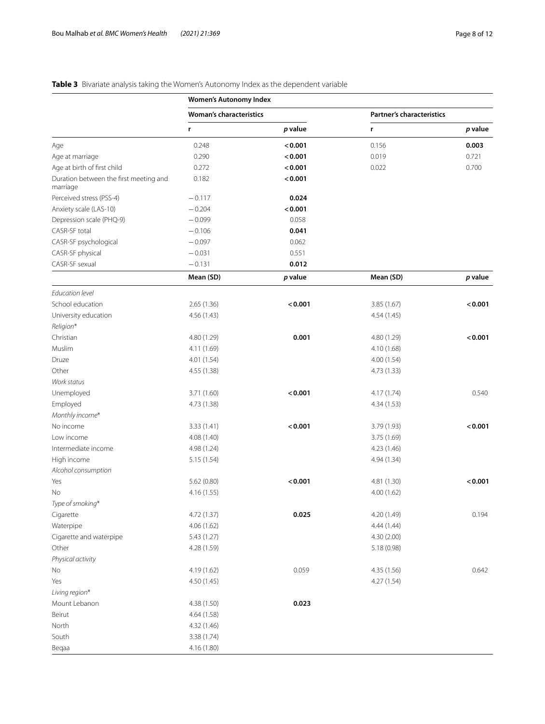# **Table 3** Bivariate analysis taking the Women's Autonomy Index as the dependent variable

|                                                    | <b>Women's Autonomy Index</b>  |         |                                  |         |  |
|----------------------------------------------------|--------------------------------|---------|----------------------------------|---------|--|
|                                                    | <b>Woman's characteristics</b> |         | <b>Partner's characteristics</b> |         |  |
|                                                    | r                              | p value | r                                | p value |  |
| Age                                                | 0.248                          | < 0.001 | 0.156                            | 0.003   |  |
| Age at marriage                                    | 0.290                          | < 0.001 | 0.019                            | 0.721   |  |
| Age at birth of first child                        | 0.272                          | < 0.001 | 0.022                            | 0.700   |  |
| Duration between the first meeting and<br>marriage | 0.182                          | < 0.001 |                                  |         |  |
| Perceived stress (PSS-4)                           | $-0.117$                       | 0.024   |                                  |         |  |
| Anxiety scale (LAS-10)                             | $-0.204$                       | < 0.001 |                                  |         |  |
| Depression scale (PHQ-9)                           | $-0.099$                       | 0.058   |                                  |         |  |
| CASR-SF total                                      | $-0.106$                       | 0.041   |                                  |         |  |
| CASR-SF psychological                              | $-0.097$                       | 0.062   |                                  |         |  |
| CASR-SF physical                                   | $-0.031$                       | 0.551   |                                  |         |  |
| CASR-SF sexual                                     | $-0.131$                       | 0.012   |                                  |         |  |
|                                                    | Mean (SD)                      | p value | Mean (SD)                        | p value |  |
| <b>Fducation level</b>                             |                                |         |                                  |         |  |
| School education                                   | 2.65(1.36)                     | < 0.001 | 3.85(1.67)                       | < 0.001 |  |
| University education                               | 4.56 (1.43)                    |         | 4.54(1.45)                       |         |  |
| Religion*                                          |                                |         |                                  |         |  |
| Christian                                          | 4.80 (1.29)                    | 0.001   | 4.80 (1.29)                      | < 0.001 |  |
| Muslim                                             | 4.11 (1.69)                    |         | 4.10 (1.68)                      |         |  |
| Druze                                              | 4.01 (1.54)                    |         | 4.00(1.54)                       |         |  |
| Other                                              | 4.55 (1.38)                    |         | 4.73 (1.33)                      |         |  |
| Work status                                        |                                |         |                                  |         |  |
| Unemployed                                         | 3.71 (1.60)                    | < 0.001 | 4.17(1.74)                       | 0.540   |  |
| Employed                                           | 4.73 (1.38)                    |         | 4.34(1.53)                       |         |  |
| Monthly income*                                    |                                |         |                                  |         |  |
| No income                                          | 3.33(1.41)                     | < 0.001 | 3.79 (1.93)                      | < 0.001 |  |
| Low income                                         | 4.08 (1.40)                    |         | 3.75 (1.69)                      |         |  |
| Intermediate income                                | 4.98 (1.24)                    |         | 4.23 (1.46)                      |         |  |
| High income                                        | 5.15(1.54)                     |         | 4.94 (1.34)                      |         |  |
| Alcohol consumption                                |                                |         |                                  |         |  |
| Yes                                                | 5.62(0.80)                     | < 0.001 | 4.81 (1.30)                      | < 0.001 |  |
| No                                                 | 4.16 (1.55)                    |         | 4.00(1.62)                       |         |  |
| Type of smoking*                                   |                                |         |                                  |         |  |
| Cigarette                                          | 4.72 (1.37)                    | 0.025   | 4.20 (1.49)                      | 0.194   |  |
| Waterpipe                                          | 4.06 (1.62)                    |         | 4.44 (1.44)                      |         |  |
| Cigarette and waterpipe                            | 5.43 (1.27)                    |         | 4.30 (2.00)                      |         |  |
| Other                                              | 4.28 (1.59)                    |         | 5.18 (0.98)                      |         |  |
| Physical activity                                  |                                |         |                                  |         |  |
| No                                                 | 4.19 (1.62)                    | 0.059   | 4.35 (1.56)                      | 0.642   |  |
| Yes                                                | 4.50 (1.45)                    |         | 4.27 (1.54)                      |         |  |
| Living region*                                     |                                |         |                                  |         |  |
| Mount Lebanon                                      | 4.38 (1.50)                    | 0.023   |                                  |         |  |
| Beirut                                             | 4.64 (1.58)                    |         |                                  |         |  |
| North                                              | 4.32 (1.46)                    |         |                                  |         |  |
| South                                              | 3.38 (1.74)                    |         |                                  |         |  |
|                                                    |                                |         |                                  |         |  |
| Begaa                                              | 4.16 (1.80)                    |         |                                  |         |  |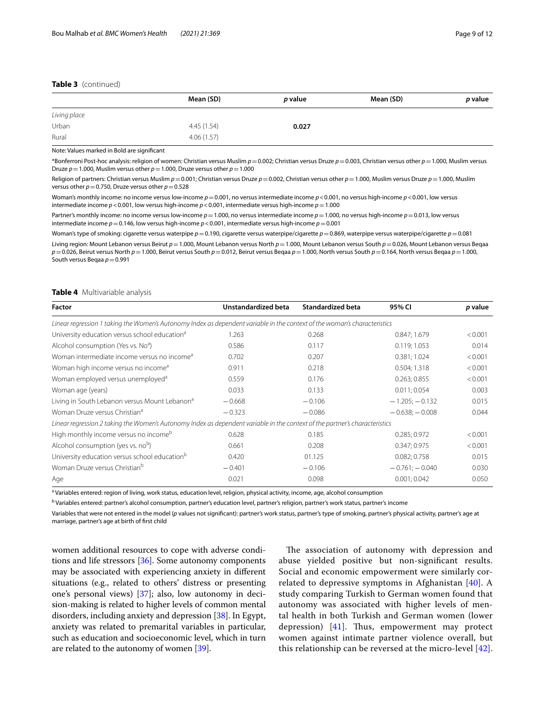# **Table 3** (continued)

|              | Mean (SD)  | p value | Mean (SD) | p value |
|--------------|------------|---------|-----------|---------|
| Living place |            |         |           |         |
| Urban        | 4.45(1.54) | 0.027   |           |         |
| Rural        | 4.06(1.57) |         |           |         |

Note: Values marked in Bold are signifcant

\*Bonferroni Post-hoc analysis: religion of women: Christian versus Muslim *p*=0.002; Christian versus Druze *p*=0.003, Christian versus other *p*=1.000, Muslim versus Druze  $p=1.000$ , Muslim versus other  $p=1.000$ , Druze versus other  $p=1.000$ 

Religion of partners: Christian versus Muslim *p*=0.001; Christian versus Druze *p*=0.002, Christian versus other *p*=1.000, Muslim versus Druze *p*=1.000, Muslim versus other  $p = 0.750$ , Druze versus other  $p = 0.528$ 

Woman's monthly income: no income versus low-income *p*=0.001, no versus intermediate income *p*<0.001, no versus high-income *p*<0.001, low versus intermediate income *p*<0.001, low versus high-income *p*<0.001, intermediate versus high-income *p*=1.000

Partner's monthly income: no income versus low-income  $p = 1.000$ , no versus intermediate income  $p = 1.000$ , no versus high-income  $p = 0.013$ , low versus intermediate income *p*=0.146, low versus high-income *p*<0.001, intermediate versus high-income *p*=0.001

Woman's type of smoking: cigarette versus waterpipe *p*=0.190, cigarette versus waterpipe/cigarette *p*=0.869, waterpipe versus waterpipe/cigarette *p*=0.081

Living region: Mount Lebanon versus Beirut *p*=1.000, Mount Lebanon versus North *p*=1.000, Mount Lebanon versus South *p*=0.026, Mount Lebanon versus Beqaa *p*=0.026, Beirut versus North *p*=1.000, Beirut versus South *p*=0.012, Beirut versus Beqaa *p*=1.000, North versus South *p*=0.164, North versus Beqaa *p*=1.000, South versus Beqaa  $p$  = 0.991

## **Table 4** Multivariable analysis

| Factor                                                                                                                      | Unstandardized beta | <b>Standardized beta</b> | 95% CI              | p value |  |  |
|-----------------------------------------------------------------------------------------------------------------------------|---------------------|--------------------------|---------------------|---------|--|--|
| Linear regression 1 taking the Women's Autonomy Index as dependent variable in the context of the woman's characteristics   |                     |                          |                     |         |  |  |
| University education versus school education <sup>a</sup>                                                                   | 1.263               | 0.268                    | 0.847; 1.679        | < 0.001 |  |  |
| Alcohol consumption (Yes vs. No <sup>a</sup> )                                                                              | 0.586               | 0.117                    | 0.119; 1.053        | 0.014   |  |  |
| Woman intermediate income versus no income <sup>a</sup>                                                                     | 0.702               | 0.207                    | 0.381; 1.024        | < 0.001 |  |  |
| Woman high income versus no income <sup>a</sup>                                                                             | 0.911               | 0.218                    | 0.504; 1.318        | < 0.001 |  |  |
| Woman employed versus unemployed <sup>a</sup>                                                                               | 0.559               | 0.176                    | 0.263; 0.855        | < 0.001 |  |  |
| Woman age (years)                                                                                                           | 0.033               | 0.133                    | 0.011; 0.054        | 0.003   |  |  |
| Living in South Lebanon versus Mount Lebanon <sup>a</sup>                                                                   | $-0.668$            | $-0.106$                 | $-1.205$ ; $-0.132$ | 0.015   |  |  |
| Woman Druze versus Christian <sup>a</sup>                                                                                   | $-0.323$            | $-0.086$                 | $-0.638; -0.008$    | 0.044   |  |  |
| Linear regression 2 taking the Women's Autonomy Index as dependent variable in the context of the partner's characteristics |                     |                          |                     |         |  |  |
| High monthly income versus no income <sup>b</sup>                                                                           | 0.628               | 0.185                    | 0.285; 0.972        | < 0.001 |  |  |
| Alcohol consumption (yes vs. nob)                                                                                           | 0.661               | 0.208                    | 0.347; 0.975        | < 0.001 |  |  |
| University education versus school education <sup>b</sup>                                                                   | 0.420               | 01.125                   | 0.082; 0.758        | 0.015   |  |  |
| Woman Druze versus Christian <sup>b</sup>                                                                                   | $-0.401$            | $-0.106$                 | $-0.761; -0.040$    | 0.030   |  |  |
| Age                                                                                                                         | 0.021               | 0.098                    | 0.001:0.042         | 0.050   |  |  |

<sup>a</sup> Variables entered: region of living, work status, education level, religion, physical activity, income, age, alcohol consumption

<sup>b</sup> Variables entered: partner's alcohol consumption, partner's education level, partner's religion, partner's work status, partner's income

Variables that were not entered in the model (*p* values not signifcant): partner's work status, partner's type of smoking, partner's physical activity, partner's age at marriage, partner's age at birth of frst child

women additional resources to cope with adverse conditions and life stressors [36]. Some autonomy components may be associated with experiencing anxiety in diferent situations (e.g., related to others' distress or presenting one's personal views) [37]; also, low autonomy in decision-making is related to higher levels of common mental disorders, including anxiety and depression [38]. In Egypt, anxiety was related to premarital variables in particular, such as education and socioeconomic level, which in turn are related to the autonomy of women [39].

The association of autonomy with depression and abuse yielded positive but non-signifcant results. Social and economic empowerment were similarly correlated to depressive symptoms in Afghanistan  $[40]$ . A study comparing Turkish to German women found that autonomy was associated with higher levels of mental health in both Turkish and German women (lower depression)  $[41]$ . Thus, empowerment may protect women against intimate partner violence overall, but this relationship can be reversed at the micro-level [42].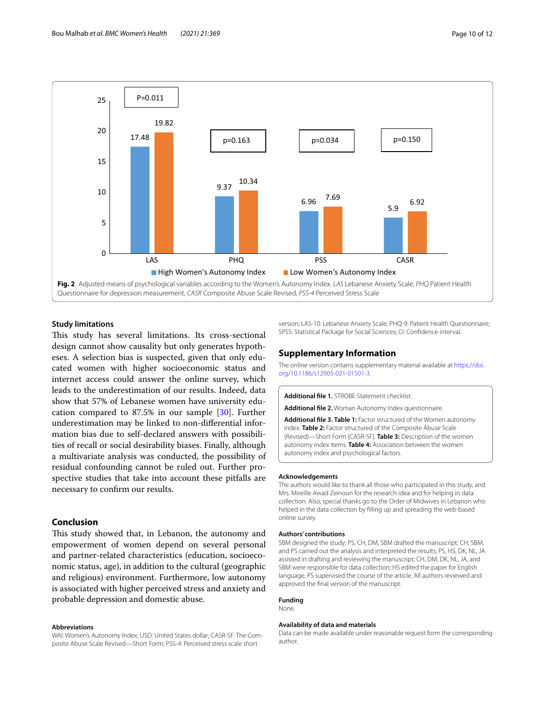

# **Study limitations**

This study has several limitations. Its cross-sectional design cannot show causality but only generates hypotheses. A selection bias is suspected, given that only educated women with higher socioeconomic status and internet access could answer the online survey, which leads to the underestimation of our results. Indeed, data show that 57% of Lebanese women have university education compared to 87.5% in our sample [30]. Further underestimation may be linked to non-diferential information bias due to self-declared answers with possibilities of recall or social desirability biases. Finally, although a multivariate analysis was conducted, the possibility of residual confounding cannot be ruled out. Further prospective studies that take into account these pitfalls are necessary to confrm our results.

# **Conclusion**

This study showed that, in Lebanon, the autonomy and empowerment of women depend on several personal and partner-related characteristics (education, socioeconomic status, age), in addition to the cultural (geographic and religious) environment. Furthermore, low autonomy is associated with higher perceived stress and anxiety and probable depression and domestic abuse.

# **Abbreviations**

WAI: Women's Autonomy Index; USD: United States dollar; CASR-SF: The Composite Abuse Scale Revised—Short Form; PSS-4: Perceived stress scale short

version; LAS-10: Lebanese Anxiety Scale; PHQ-9: Patient Health Questionnaire; SPSS: Statistical Package for Social Sciences; CI: Confdence interval.

# **Supplementary Information**

The online version contains supplementary material available at [https://doi.](https://doi.org/10.1186/s12905-021-01501-3) [org/10.1186/s12905-021-01501-3](https://doi.org/10.1186/s12905-021-01501-3).

**Additional fle 1.** STROBE Statement checklist.

**Additional fle 2.** Woman Autonomy Index questionnaire.

**Additional fle 3. Table 1:** Factor structured of the Women autonomy index. **Table 2:** Factor structured of the Composite Abuse Scale (Revised)—Short Form (CASR-SF). **Table 3:** Description of the women autonomy index items. **Table 4:** Association between the women autonomy index and psychological factors.

#### **Acknowledgements**

The authors would like to thank all those who participated in this study, and Mrs. Mireille Awad Zeinoun for the research idea and for helping in data collection. Also, special thanks go to the Order of Midwives in Lebanon who helped in the data collection by flling up and spreading the web-based online survey.

#### **Authors' contributions**

SBM designed the study; PS, CH, DM, SBM drafted the manuscript; CH, SBM, and PS carried out the analysis and interpreted the results; PS, HS, DK, NL, JA assisted in drafting and reviewing the manuscript; CH, DM, DK, NL, JA, and SBM were responsible for data collection; HS edited the paper for English language, PS supervised the course of the article. All authors reviewed and approved the fnal version of the manuscript.

#### **Funding**

# None.

# **Availability of data and materials**

Data can be made available under reasonable request form the corresponding author.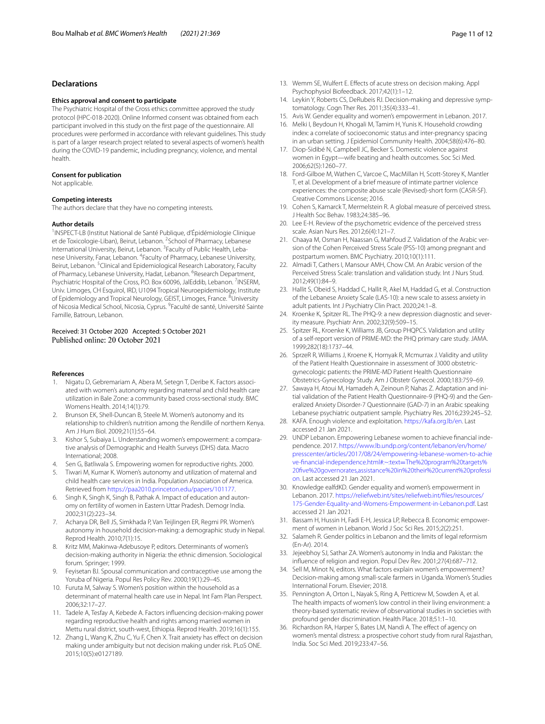# **Declarations**

#### **Ethics approval and consent to participate**

The Psychiatric Hospital of the Cross ethics committee approved the study protocol (HPC-018-2020). Online Informed consent was obtained from each participant involved in this study on the frst page of the questionnaire. All procedures were performed in accordance with relevant guidelines. This study is part of a larger research project related to several aspects of women's health during the COVID-19 pandemic, including pregnancy, violence, and mental health.

#### **Consent for publication**

Not applicable.

#### **Competing interests**

The authors declare that they have no competing interests.

#### **Author details**

<sup>1</sup> INSPECT-LB (Institut National de Santé Publique, d'Épidémiologie Clinique et de Toxicologie-Liban), Beirut, Lebanon. <sup>2</sup>School of Pharmacy, Lebanese International University, Beirut, Lebanon. <sup>3</sup> Faculty of Public Health, Lebanese University, Fanar, Lebanon. <sup>4</sup> Faculty of Pharmacy, Lebanese University, Beirut, Lebanon.<sup>5</sup> Clinical and Epidemiological Research Laboratory, Faculty of Pharmacy, Lebanese University, Hadat, Lebanon. <sup>6</sup>Research Department, Psychiatric Hospital of the Cross, P.O. Box 60096, JalEddib, Lebanon. <sup>7</sup>INSERM, Univ. Limoges, CH Esquirol, IRD, U1094 Tropical Neuroepidemiology, Institute of Epidemiology and Tropical Neurology, GEIST, Limoges, France. <sup>8</sup>University of Nicosia Medical School, Nicosia, Cyprus. <sup>9</sup>Faculté de santé, Université Sainte Famille, Batroun, Lebanon.

# Received: 31 October 2020 Accepted: 5 October 2021 Published online: 20 October 2021

#### **References**

- 1. Nigatu D, Gebremariam A, Abera M, Setegn T, Deribe K. Factors associated with women's autonomy regarding maternal and child health care utilization in Bale Zone: a community based cross-sectional study. BMC Womens Health. 2014;14(1):79.
- 2. Brunson EK, Shell-Duncan B, Steele M. Women's autonomy and its relationship to children's nutrition among the Rendille of northern Kenya. Am J Hum Biol. 2009;21(1):55–64.
- 3. Kishor S, Subaiya L. Understanding women's empowerment: a comparative analysis of Demographic and Health Surveys (DHS) data. Macro International; 2008.
- 4. Sen G, Batliwala S. Empowering women for reproductive rights. 2000.
- Tiwari M, Kumar K. Women's autonomy and utilization of maternal and child health care services in India. Population Association of America. Retrieved from <https://paa2010.princeton.edu/papers/101177>.
- 6. Singh K, Singh K, Singh B, Pathak A. Impact of education and autonomy on fertility of women in Eastern Uttar Pradesh. Demogr India. 2002;31(2):223–34.
- 7. Acharya DR, Bell JS, Simkhada P, Van Teijlingen ER, Regmi PR. Women's autonomy in household decision-making: a demographic study in Nepal. Reprod Health. 2010;7(1):15.
- 8. Kritz MM, Makinwa-Adebusoye P, editors. Determinants of women's decision-making authority in Nigeria: the ethnic dimension. Sociological forum. Springer; 1999.
- 9. Feyisetan BJ. Spousal communication and contraceptive use among the Yoruba of Nigeria. Popul Res Policy Rev. 2000;19(1):29–45.
- 10. Furuta M, Salway S. Women's position within the household as a determinant of maternal health care use in Nepal. Int Fam Plan Perspect. 2006;32:17–27.
- 11. Tadele A, Tesfay A, Kebede A. Factors infuencing decision-making power regarding reproductive health and rights among married women in Mettu rural district, south-west, Ethiopia. Reprod Health. 2019;16(1):155.
- 12. Zhang L, Wang K, Zhu C, Yu F, Chen X. Trait anxiety has effect on decision making under ambiguity but not decision making under risk. PLoS ONE. 2015;10(5):e0127189.
- 13. Wemm SE, Wulfert E. Effects of acute stress on decision making. Appl Psychophysiol Biofeedback. 2017;42(1):1–12.
- 14. Leykin Y, Roberts CS, DeRubeis RJ. Decision-making and depressive symptomatology. Cogn Ther Res. 2011;35(4):333–41.
- 15. Avis W. Gender equality and women's empowerment in Lebanon. 2017.
- 16. Melki I, Beydoun H, Khogali M, Tamim H, Yunis K. Household crowding index: a correlate of socioeconomic status and inter-pregnancy spacing in an urban setting. J Epidemiol Community Health. 2004;58(6):476–80.
- 17. Diop-Sidibé N, Campbell JC, Becker S. Domestic violence against women in Egypt—wife beating and health outcomes. Soc Sci Med. 2006;62(5):1260–77.
- 18. Ford-Gilboe M, Wathen C, Varcoe C, MacMillan H, Scott-Storey K, Mantler T, et al. Development of a brief measure of intimate partner violence experiences: the composite abuse scale (Revised)-short form (CASR-SF). Creative Commons License; 2016.
- 19. Cohen S, Kamarck T, Mermelstein R. A global measure of perceived stress. J Health Soc Behav. 1983;24:385–96.
- 20. Lee E-H. Review of the psychometric evidence of the perceived stress scale. Asian Nurs Res. 2012;6(4):121–7.
- 21. Chaaya M, Osman H, Naassan G, Mahfoud Z. Validation of the Arabic version of the Cohen Perceived Stress Scale (PSS-10) among pregnant and postpartum women. BMC Psychiatry. 2010;10(1):111.
- 22. Almadi T, Cathers I, Mansour AMH, Chow CM. An Arabic version of the Perceived Stress Scale: translation and validation study. Int J Nurs Stud. 2012;49(1):84–9.
- 23. Hallit S, Obeid S, Haddad C, Hallit R, Akel M, Haddad G, et al. Construction of the Lebanese Anxiety Scale (LAS-10): a new scale to assess anxiety in adult patients. Int J Psychiatry Clin Pract. 2020;24:1–8.
- 24. Kroenke K, Spitzer RL. The PHQ-9: a new depression diagnostic and severity measure. Psychiatr Ann. 2002;32(9):509–15.
- 25. Spitzer RL, Kroenke K, Williams JB, Group PHQPCS. Validation and utility of a self-report version of PRIME-MD: the PHQ primary care study. JAMA. 1999;282(18):1737–44.
- 26. SprzeR R, Williams J, Kroene K, Hornyak R, Mcmurrax J. Validity and utility of the Patient Health Questionnaire in assessment of 3000 obstetricgynecologic patients: the PRIME-MD Patient Health Questionnaire Obstetrics-Gynecology Study. Am J Obstetr Gynecol. 2000;183:759–69.
- 27. Sawaya H, Atoui M, Hamadeh A, Zeinoun P, Nahas Z. Adaptation and initial validation of the Patient Health Questionnaire-9 (PHQ-9) and the Generalized Anxiety Disorder-7 Questionnaire (GAD-7) in an Arabic speaking Lebanese psychiatric outpatient sample. Psychiatry Res. 2016;239:245–52.
- 28. KAFA. Enough violence and exploitation. <https://kafa.org.lb/en>. Last accessed 21 Jan 2021.
- 29. UNDP Lebanon. Empowering Lebanese women to achieve fnancial independence. 2017. [https://www.lb.undp.org/content/lebanon/en/home/](https://www.lb.undp.org/content/lebanon/en/home/presscenter/articles/2017/08/24/empowering-lebanese-women-to-achieve-financial-independence.html#:~:text=The%20program%20targets%20five%20governorates,assistance%20in%20their%20current%20profession) [presscenter/articles/2017/08/24/empowering-lebanese-women-to-achie](https://www.lb.undp.org/content/lebanon/en/home/presscenter/articles/2017/08/24/empowering-lebanese-women-to-achieve-financial-independence.html#:~:text=The%20program%20targets%20five%20governorates,assistance%20in%20their%20current%20profession) [ve-fnancial-independence.html#:~:text](https://www.lb.undp.org/content/lebanon/en/home/presscenter/articles/2017/08/24/empowering-lebanese-women-to-achieve-financial-independence.html#:~:text=The%20program%20targets%20five%20governorates,assistance%20in%20their%20current%20profession)=The%20program%20targets% [20fve%20governorates,assistance%20in%20their%20current%20professi](https://www.lb.undp.org/content/lebanon/en/home/presscenter/articles/2017/08/24/empowering-lebanese-women-to-achieve-financial-independence.html#:~:text=The%20program%20targets%20five%20governorates,assistance%20in%20their%20current%20profession) [on.](https://www.lb.undp.org/content/lebanon/en/home/presscenter/articles/2017/08/24/empowering-lebanese-women-to-achieve-financial-independence.html#:~:text=The%20program%20targets%20five%20governorates,assistance%20in%20their%20current%20profession) Last accessed 21 Jan 2021.
- 30. Knowledge ealfdKD. Gender equality and women's empowerment in Lebanon. 2017. [https://reliefweb.int/sites/reliefweb.int/fles/resources/](https://reliefweb.int/sites/reliefweb.int/files/resources/175-Gender-Equality-and-Womens-Empowerment-in-Lebanon.pdf) [175-Gender-Equality-and-Womens-Empowerment-in-Lebanon.pdf.](https://reliefweb.int/sites/reliefweb.int/files/resources/175-Gender-Equality-and-Womens-Empowerment-in-Lebanon.pdf) Last accessed 21 Jan 2021.
- 31. Bassam H, Hussin H, Fadi E-H, Jessica LP, Rebecca B. Economic empowerment of women in Lebanon. World J Soc Sci Res. 2015;2(2):251.
- 32. Salameh R. Gender politics in Lebanon and the limits of legal reformism (En-Ar). 2014.
- 33. Jejeebhoy SJ, Sathar ZA. Women's autonomy in India and Pakistan: the infuence of religion and region. Popul Dev Rev. 2001;27(4):687–712.
- 34. Sell M, Minot N, editors. What factors explain women's empowerment? Decision-making among small-scale farmers in Uganda. Women's Studies International Forum. Elsevier; 2018.
- 35. Pennington A, Orton L, Nayak S, Ring A, Petticrew M, Sowden A, et al. The health impacts of women's low control in their living environment: a theory-based systematic review of observational studies in societies with profound gender discrimination. Health Place. 2018;51:1–10.
- 36. Richardson RA, Harper S, Bates LM, Nandi A. The effect of agency on women's mental distress: a prospective cohort study from rural Rajasthan, India. Soc Sci Med. 2019;233:47–56.